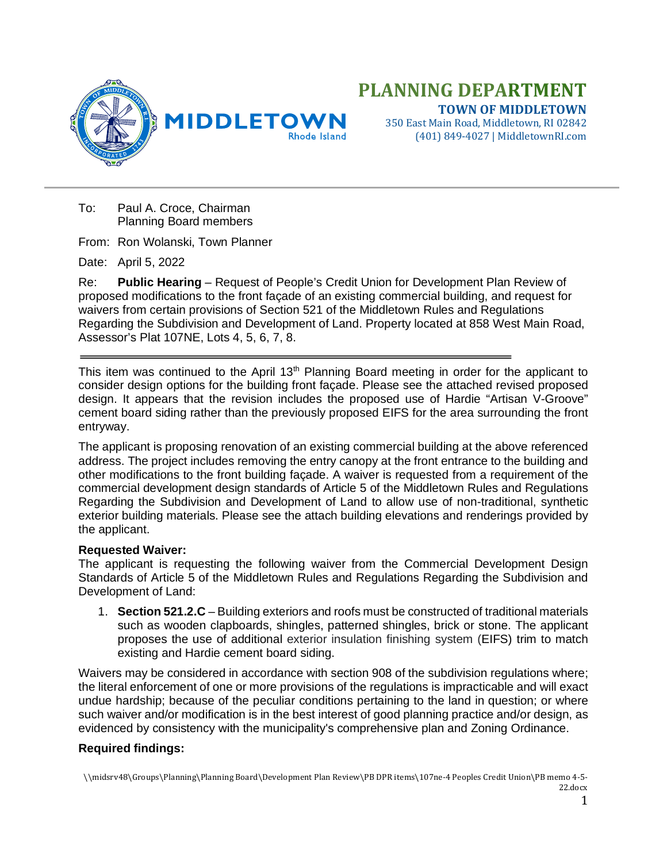

**PLANNING DEPARTMENT TOWN OF MIDDLETOWN** 350 East Main Road, Middletown, RI 02842

(401) 849-4027 | MiddletownRI.com

To: Paul A. Croce, Chairman Planning Board members

From: Ron Wolanski, Town Planner

Date: April 5, 2022

Re: **Public Hearing** – Request of People's Credit Union for Development Plan Review of proposed modifications to the front façade of an existing commercial building, and request for waivers from certain provisions of Section 521 of the Middletown Rules and Regulations Regarding the Subdivision and Development of Land. Property located at 858 West Main Road, Assessor's Plat 107NE, Lots 4, 5, 6, 7, 8.

This item was continued to the April 13<sup>th</sup> Planning Board meeting in order for the applicant to consider design options for the building front façade. Please see the attached revised proposed design. It appears that the revision includes the proposed use of Hardie "Artisan V-Groove" cement board siding rather than the previously proposed EIFS for the area surrounding the front entryway.

The applicant is proposing renovation of an existing commercial building at the above referenced address. The project includes removing the entry canopy at the front entrance to the building and other modifications to the front building façade. A waiver is requested from a requirement of the commercial development design standards of Article 5 of the Middletown Rules and Regulations Regarding the Subdivision and Development of Land to allow use of non-traditional, synthetic exterior building materials. Please see the attach building elevations and renderings provided by the applicant.

## **Requested Waiver:**

The applicant is requesting the following waiver from the Commercial Development Design Standards of Article 5 of the Middletown Rules and Regulations Regarding the Subdivision and Development of Land:

1. **Section 521.2.C** – Building exteriors and roofs must be constructed of traditional materials such as wooden clapboards, shingles, patterned shingles, brick or stone. The applicant proposes the use of additional exterior insulation finishing system (EIFS) trim to match existing and Hardie cement board siding.

Waivers may be considered in accordance with section 908 of the subdivision regulations where; the literal enforcement of one or more provisions of the regulations is impracticable and will exact undue hardship; because of the peculiar conditions pertaining to the land in question; or where such waiver and/or modification is in the best interest of good planning practice and/or design, as evidenced by consistency with the municipality's comprehensive plan and Zoning Ordinance.

## **Required findings:**